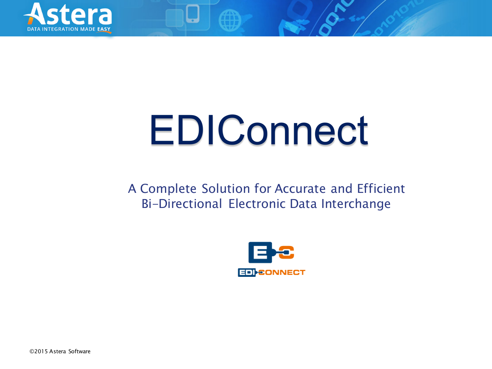

# EDIConnect

A Complete Solution for Accurate and Efficient Bi-Directional Electronic Data Interchange



©2015 Astera Software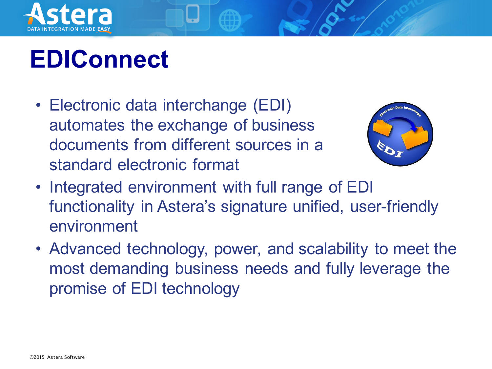

#### **EDIConnect**

• Electronic data interchange (EDI) automates the exchange of business documents from different sources in a standard electronic format



- Integrated environment with full range of EDI functionality in Astera's signature unified, user-friendly environment
- Advanced technology, power, and scalability to meet the most demanding business needs and fully leverage the promise of EDI technology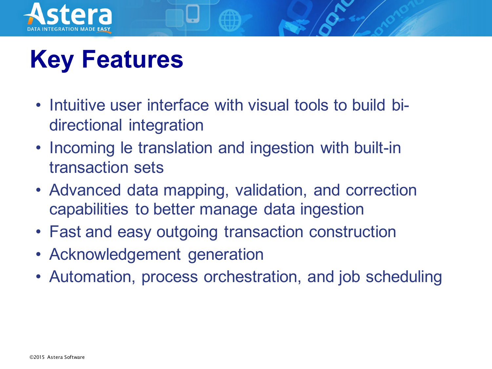

# **Key Features**

- Intuitive user interface with visual tools to build bidirectional integration
- Incoming le translation and ingestion with built-in transaction sets
- Advanced data mapping, validation, and correction capabilities to better manage data ingestion
- Fast and easy outgoing transaction construction
- Acknowledgement generation
- Automation, process orchestration, and job scheduling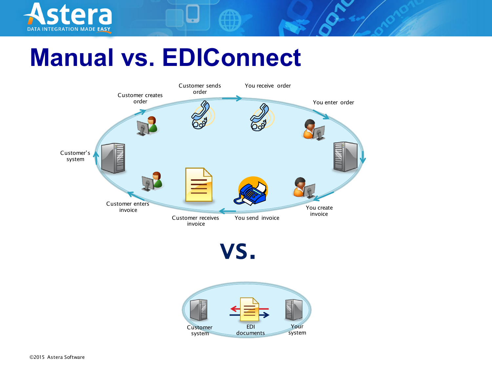

#### **Manual vs. EDIConnect**



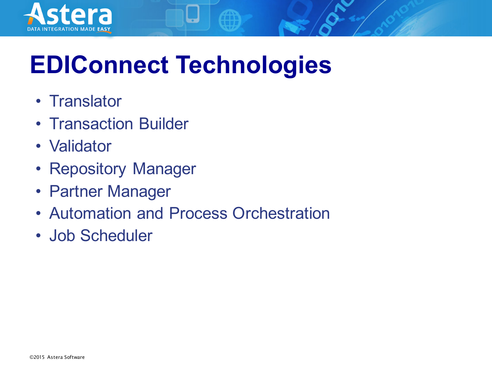

## **EDIConnect Technologies**

- Translator
- Transaction Builder
- Validator
- Repository Manager
- Partner Manager
- Automation and Process Orchestration
- Job Scheduler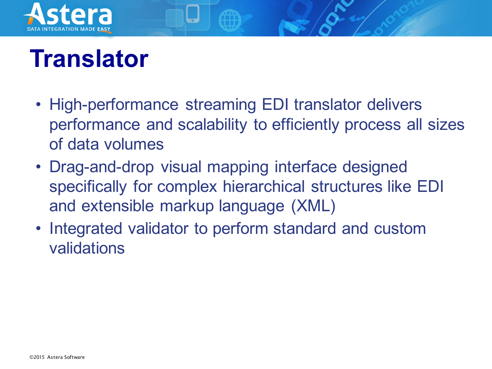

### **Translator**

- High-performance streaming EDI translator delivers performance and scalability to efficiently process all sizes of data volumes
- Drag-and-drop visual mapping interface designed specifically for complex hierarchical structures like EDI and extensible markup language (XML)
- Integrated validator to perform standard and custom validations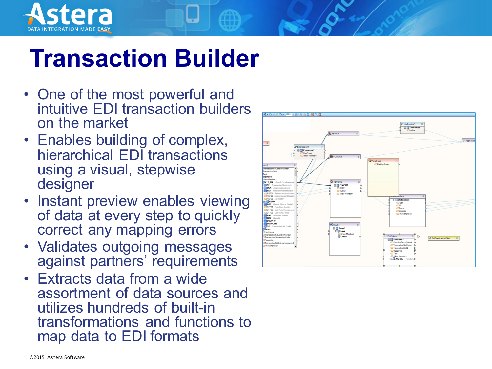

#### **Transaction Builder**

- One of the most powerful and intuitive EDI transaction builders on the market
- Enables building of complex, hierarchical EDI transactions using a visual, stepwise designer
- Instant preview enables viewing of data at every step to quickly correct any mapping errors
- Validates outgoing messages against partners' requirements
- Extracts data from a wide assortment of data sources and utilizes hundreds of built-in transformations and functions to map data to EDI formats

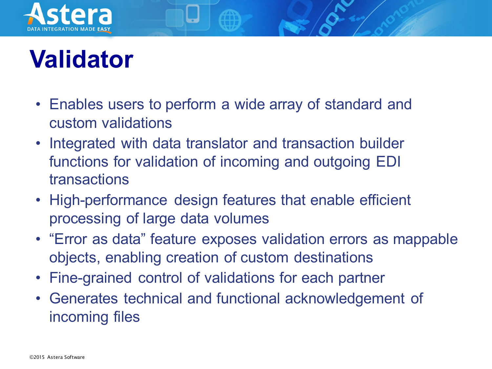

#### **Validator**

- Enables users to perform a wide array of standard and custom validations
- Integrated with data translator and transaction builder functions for validation of incoming and outgoing EDI transactions
- High-performance design features that enable efficient processing of large data volumes
- "Error as data" feature exposes validation errors as mappable objects, enabling creation of custom destinations
- Fine-grained control of validations for each partner
- Generates technical and functional acknowledgement of incoming files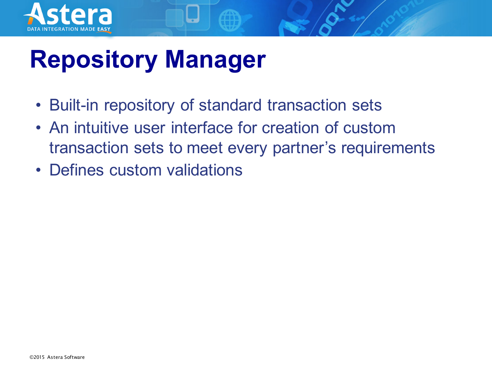

### **Repository Manager**

- Built-in repository of standard transaction sets
- An intuitive user interface for creation of custom transaction sets to meet every partner's requirements
- Defines custom validations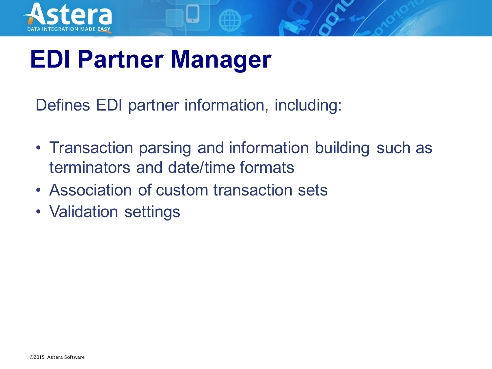

### **EDI Partner Manager**

Defines EDI partner information, including:

- Transaction parsing and information building such as terminators and date/time formats
- Association of custom transaction sets
- Validation settings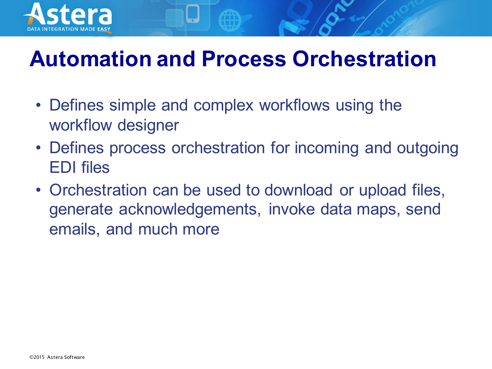

#### **Automation and Process Orchestration**

- Defines simple and complex workflows using the workflow designer
- Defines process orchestration for incoming and outgoing EDI files
- Orchestration can be used to download or upload files, generate acknowledgements, invoke data maps, send emails, and much more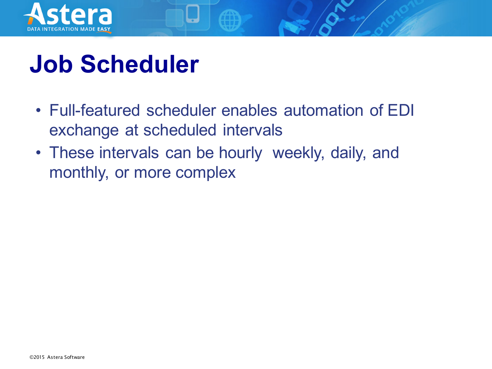

#### **Job Scheduler**

- Full-featured scheduler enables automation of EDI exchange at scheduled intervals
- These intervals can be hourly weekly, daily, and monthly, or more complex